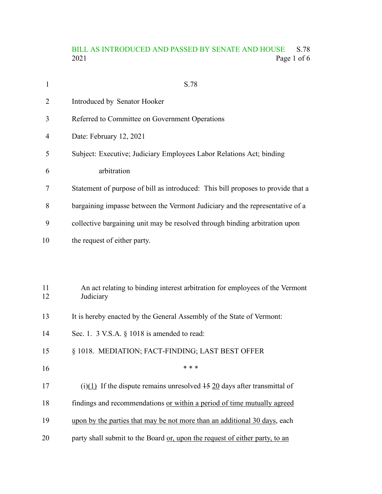### BILL AS INTRODUCED AND PASSED BY SENATE AND HOUSE S.78<br>2021 Page 1 of 6 Page 1 of 6

| $\mathbf{1}$ | S.78                                                                                      |
|--------------|-------------------------------------------------------------------------------------------|
| 2            | Introduced by Senator Hooker                                                              |
| 3            | Referred to Committee on Government Operations                                            |
| 4            | Date: February 12, 2021                                                                   |
| 5            | Subject: Executive; Judiciary Employees Labor Relations Act; binding                      |
| 6            | arbitration                                                                               |
| 7            | Statement of purpose of bill as introduced: This bill proposes to provide that a          |
| 8            | bargaining impasse between the Vermont Judiciary and the representative of a              |
| 9            | collective bargaining unit may be resolved through binding arbitration upon               |
| 10           | the request of either party.                                                              |
|              |                                                                                           |
| 11<br>12     | An act relating to binding interest arbitration for employees of the Vermont<br>Judiciary |
| 13           | It is hereby enacted by the General Assembly of the State of Vermont:                     |
| 14           | Sec. 1. 3 V.S.A. § 1018 is amended to read:                                               |
| 15           | § 1018. MEDIATION; FACT-FINDING; LAST BEST OFFER                                          |
| 16           | * * *                                                                                     |
| 17           | (i)(1) If the dispute remains unresolved $\frac{15}{20}$ days after transmittal of        |
| 18           | findings and recommendations or within a period of time mutually agreed                   |
| 19           | upon by the parties that may be not more than an additional 30 days, each                 |
| 20           | party shall submit to the Board or, upon the request of either party, to an               |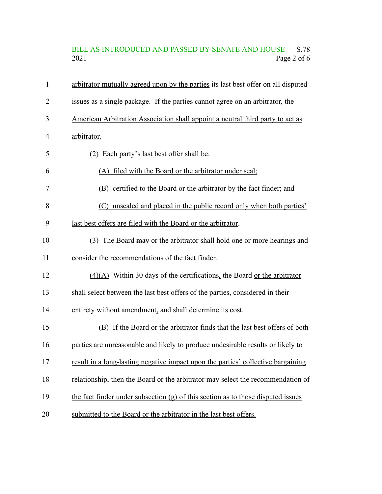# BILL AS INTRODUCED AND PASSED BY SENATE AND HOUSE S.78<br>2021 Page 2 of 6 Page 2 of 6

| $\mathbf{1}$   | arbitrator mutually agreed upon by the parties its last best offer on all disputed |
|----------------|------------------------------------------------------------------------------------|
| $\overline{2}$ | issues as a single package. If the parties cannot agree on an arbitrator, the      |
| 3              | American Arbitration Association shall appoint a neutral third party to act as     |
| 4              | arbitrator.                                                                        |
| 5              | (2) Each party's last best offer shall be:                                         |
| 6              | (A) filed with the Board or the arbitrator under seal;                             |
| 7              | (B) certified to the Board or the arbitrator by the fact finder; and               |
| 8              | (C) unsealed and placed in the public record only when both parties'               |
| 9              | last best offers are filed with the Board or the arbitrator.                       |
| 10             | (3) The Board may or the arbitrator shall hold one or more hearings and            |
| 11             | consider the recommendations of the fact finder.                                   |
| 12             | $(4)(A)$ Within 30 days of the certifications, the Board or the arbitrator         |
| 13             | shall select between the last best offers of the parties, considered in their      |
| 14             | entirety without amendment, and shall determine its cost.                          |
| 15             | (B) If the Board or the arbitrator finds that the last best offers of both         |
| 16             | parties are unreasonable and likely to produce undesirable results or likely to    |
| 17             | result in a long-lasting negative impact upon the parties' collective bargaining   |
| 18             | relationship, then the Board or the arbitrator may select the recommendation of    |
| 19             | the fact finder under subsection $(g)$ of this section as to those disputed issues |
| 20             | submitted to the Board or the arbitrator in the last best offers.                  |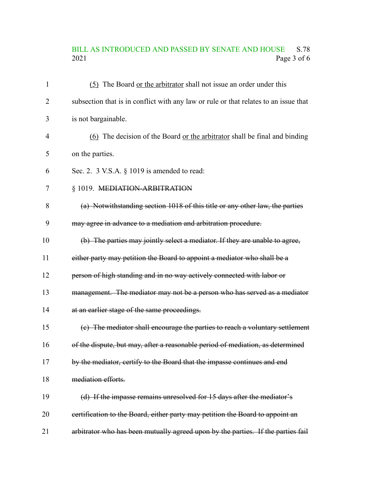# BILL AS INTRODUCED AND PASSED BY SENATE AND HOUSE S.78<br>2021 Page 3 of 6 Page 3 of 6

| $\mathbf{1}$   | (5) The Board or the arbitrator shall not issue an order under this                  |
|----------------|--------------------------------------------------------------------------------------|
| $\overline{2}$ | subsection that is in conflict with any law or rule or that relates to an issue that |
| 3              | is not bargainable.                                                                  |
| $\overline{4}$ | (6) The decision of the Board or the arbitrator shall be final and binding           |
| 5              | on the parties.                                                                      |
| 6              | Sec. 2. 3 V.S.A. § 1019 is amended to read:                                          |
| $\tau$         | § 1019. MEDIATION-ARBITRATION                                                        |
| 8              | (a) Notwithstanding section 1018 of this title or any other law, the parties         |
| 9              | may agree in advance to a mediation and arbitration procedure.                       |
| 10             | (b) The parties may jointly select a mediator. If they are unable to agree,          |
| 11             | either party may petition the Board to appoint a mediator who shall be a             |
| 12             | person of high standing and in no way actively connected with labor or               |
| 13             | management. The mediator may not be a person who has served as a mediator            |
| 14             | at an earlier stage of the same proceedings.                                         |
| 15             | (c) The mediator shall encourage the parties to reach a voluntary settlement         |
| 16             | of the dispute, but may, after a reasonable period of mediation, as determined       |
| 17             | by the mediator, certify to the Board that the impasse continues and end             |
| 18             | mediation efforts.                                                                   |
| 19             | (d) If the impasse remains unresolved for 15 days after the mediator's               |
| 20             | eertification to the Board, either party may petition the Board to appoint an        |
| 21             | arbitrator who has been mutually agreed upon by the parties. If the parties fail     |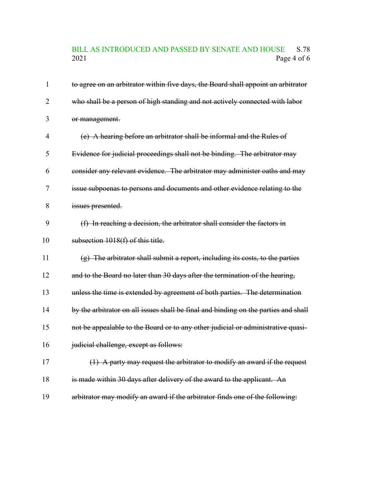### BILL AS INTRODUCED AND PASSED BY SENATE AND HOUSE S.78<br>2021 Page 4 of 6 Page 4 of  $6\,$

| $\mathbf{1}$   | to agree on an arbitrator within five days, the Board shall appoint an arbitrator   |
|----------------|-------------------------------------------------------------------------------------|
| $\overline{2}$ | who shall be a person of high standing and not actively connected with labor        |
| 3              | or management.                                                                      |
| $\overline{4}$ | (e) A hearing before an arbitrator shall be informal and the Rules of               |
| 5              | Evidence for judicial proceedings shall not be binding. The arbitrator may          |
| 6              | consider any relevant evidence. The arbitrator may administer oaths and may         |
| 7              | issue subpoenas to persons and documents and other evidence relating to the         |
| 8              | issues presented.                                                                   |
| 9              | (f) In reaching a decision, the arbitrator shall consider the factors in            |
| 10             | subsection 1018(f) of this title.                                                   |
| 11             | $(g)$ The arbitrator shall submit a report, including its costs, to the parties     |
| 12             | and to the Board no later than 30 days after the termination of the hearing,        |
| 13             | unless the time is extended by agreement of both parties. The determination         |
| 14             | by the arbitrator on all issues shall be final and binding on the parties and shall |
| 15             | not be appealable to the Board or to any other judicial or administrative quasi-    |
| 16             | judicial challenge, except as follows:                                              |
| 17             | (1) A party may request the arbitrator to modify an award if the request            |
| 18             | is made within 30 days after delivery of the award to the applicant. An             |
| 19             | arbitrator may modify an award if the arbitrator finds one of the following:        |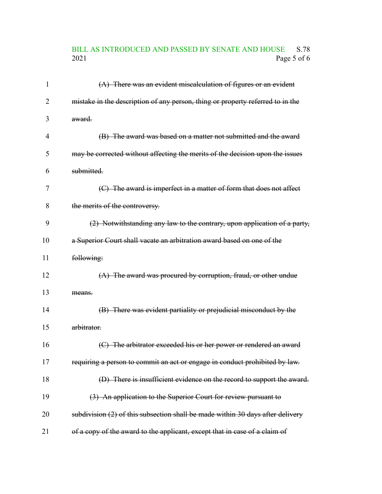# BILL AS INTRODUCED AND PASSED BY SENATE AND HOUSE S.78<br>2021 Page 5 of 6 Page 5 of 6

| 1  | $(A)$ There was an evident miscalculation of figures or an evident             |
|----|--------------------------------------------------------------------------------|
| 2  | mistake in the description of any person, thing or property referred to in the |
| 3  | award.                                                                         |
| 4  | (B) The award was based on a matter not submitted and the award                |
| 5  | may be corrected without affecting the merits of the decision upon the issues  |
| 6  | submitted.                                                                     |
| 7  | (C) The award is imperfect in a matter of form that does not affect            |
| 8  | the merits of the controversy.                                                 |
| 9  | (2) Notwithstanding any law to the contrary, upon application of a party,      |
| 10 | a Superior Court shall vacate an arbitration award based on one of the         |
| 11 | following:                                                                     |
| 12 | $(A)$ The award was procured by corruption, fraud, or other undue              |
| 13 | means.                                                                         |
| 14 | (B) There was evident partiality or prejudicial misconduct by the              |
| 15 | arbitrator.                                                                    |
| 16 | (C) The arbitrator exceeded his or her power or rendered an award              |
| 17 | requiring a person to commit an act or engage in conduct prohibited by law.    |
| 18 | (D) There is insufficient evidence on the record to support the award.         |
| 19 | (3) An application to the Superior Court for review pursuant to                |
| 20 | subdivision (2) of this subsection shall be made within 30 days after delivery |
| 21 | of a copy of the award to the applicant, except that in case of a claim of     |